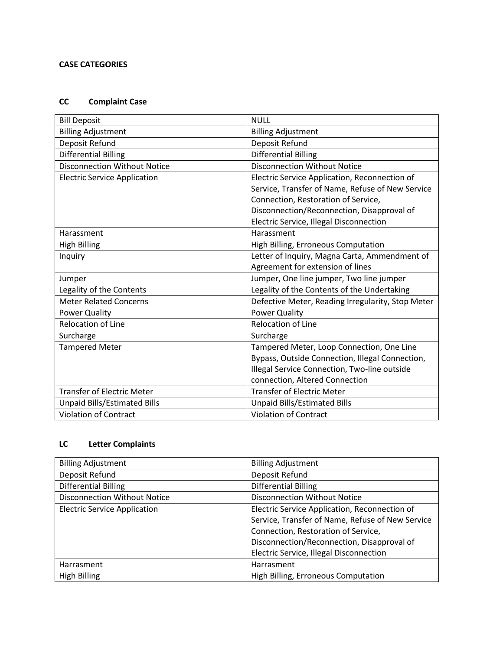# **CASE CATEGORIES**

# **CC Complaint Case**

| <b>Bill Deposit</b>                 | <b>NULL</b>                                       |
|-------------------------------------|---------------------------------------------------|
| <b>Billing Adjustment</b>           | <b>Billing Adjustment</b>                         |
| Deposit Refund                      | Deposit Refund                                    |
| <b>Differential Billing</b>         | <b>Differential Billing</b>                       |
| <b>Disconnection Without Notice</b> | <b>Disconnection Without Notice</b>               |
| <b>Electric Service Application</b> | Electric Service Application, Reconnection of     |
|                                     | Service, Transfer of Name, Refuse of New Service  |
|                                     | Connection, Restoration of Service,               |
|                                     | Disconnection/Reconnection, Disapproval of        |
|                                     | Electric Service, Illegal Disconnection           |
| Harassment                          | Harassment                                        |
| <b>High Billing</b>                 | High Billing, Erroneous Computation               |
| Inquiry                             | Letter of Inquiry, Magna Carta, Ammendment of     |
|                                     | Agreement for extension of lines                  |
| Jumper                              | Jumper, One line jumper, Two line jumper          |
| Legality of the Contents            | Legality of the Contents of the Undertaking       |
| <b>Meter Related Concerns</b>       | Defective Meter, Reading Irregularity, Stop Meter |
| Power Quality                       | <b>Power Quality</b>                              |
| <b>Relocation of Line</b>           | <b>Relocation of Line</b>                         |
| Surcharge                           | Surcharge                                         |
| <b>Tampered Meter</b>               | Tampered Meter, Loop Connection, One Line         |
|                                     | Bypass, Outside Connection, Illegal Connection,   |
|                                     | Illegal Service Connection, Two-line outside      |
|                                     | connection, Altered Connection                    |
| <b>Transfer of Electric Meter</b>   | <b>Transfer of Electric Meter</b>                 |
| <b>Unpaid Bills/Estimated Bills</b> | <b>Unpaid Bills/Estimated Bills</b>               |
| <b>Violation of Contract</b>        | <b>Violation of Contract</b>                      |

# **LC Letter Complaints**

| <b>Billing Adjustment</b>           | <b>Billing Adjustment</b>                        |
|-------------------------------------|--------------------------------------------------|
| Deposit Refund                      | Deposit Refund                                   |
| <b>Differential Billing</b>         | <b>Differential Billing</b>                      |
| <b>Disconnection Without Notice</b> | <b>Disconnection Without Notice</b>              |
| <b>Electric Service Application</b> | Electric Service Application, Reconnection of    |
|                                     | Service, Transfer of Name, Refuse of New Service |
|                                     | Connection, Restoration of Service,              |
|                                     | Disconnection/Reconnection, Disapproval of       |
|                                     | Electric Service, Illegal Disconnection          |
| Harrasment                          | Harrasment                                       |
| <b>High Billing</b>                 | High Billing, Erroneous Computation              |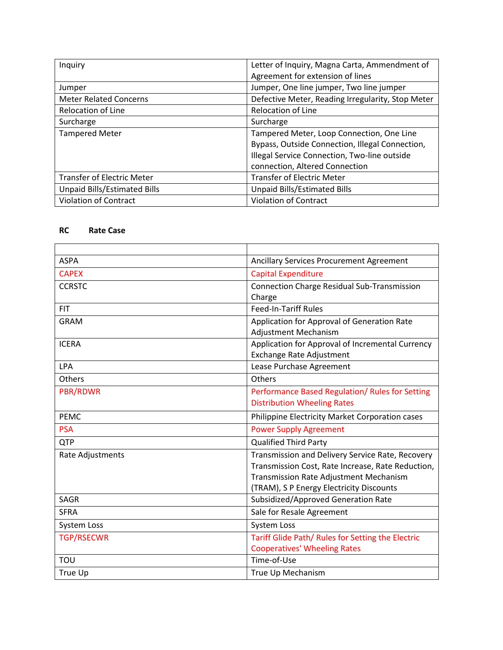| Inquiry                             | Letter of Inquiry, Magna Carta, Ammendment of<br>Agreement for extension of lines |
|-------------------------------------|-----------------------------------------------------------------------------------|
| Jumper                              | Jumper, One line jumper, Two line jumper                                          |
| <b>Meter Related Concerns</b>       | Defective Meter, Reading Irregularity, Stop Meter                                 |
| <b>Relocation of Line</b>           | <b>Relocation of Line</b>                                                         |
| Surcharge                           | Surcharge                                                                         |
| <b>Tampered Meter</b>               | Tampered Meter, Loop Connection, One Line                                         |
|                                     | Bypass, Outside Connection, Illegal Connection,                                   |
|                                     | Illegal Service Connection, Two-line outside                                      |
|                                     | connection, Altered Connection                                                    |
| <b>Transfer of Electric Meter</b>   | <b>Transfer of Electric Meter</b>                                                 |
| <b>Unpaid Bills/Estimated Bills</b> | <b>Unpaid Bills/Estimated Bills</b>                                               |
| <b>Violation of Contract</b>        | <b>Violation of Contract</b>                                                      |

### **RC Rate Case**

| <b>ASPA</b>       | <b>Ancillary Services Procurement Agreement</b>    |
|-------------------|----------------------------------------------------|
| <b>CAPEX</b>      | <b>Capital Expenditure</b>                         |
| <b>CCRSTC</b>     | <b>Connection Charge Residual Sub-Transmission</b> |
|                   | Charge                                             |
| <b>FIT</b>        | <b>Feed-In-Tariff Rules</b>                        |
| <b>GRAM</b>       | Application for Approval of Generation Rate        |
|                   | <b>Adjustment Mechanism</b>                        |
| <b>ICERA</b>      | Application for Approval of Incremental Currency   |
|                   | <b>Exchange Rate Adjustment</b>                    |
| <b>LPA</b>        | Lease Purchase Agreement                           |
| <b>Others</b>     | Others                                             |
| PBR/RDWR          | Performance Based Regulation/ Rules for Setting    |
|                   | <b>Distribution Wheeling Rates</b>                 |
| <b>PEMC</b>       | Philippine Electricity Market Corporation cases    |
| <b>PSA</b>        | <b>Power Supply Agreement</b>                      |
| <b>QTP</b>        | <b>Qualified Third Party</b>                       |
| Rate Adjustments  | Transmission and Delivery Service Rate, Recovery   |
|                   | Transmission Cost, Rate Increase, Rate Reduction,  |
|                   | <b>Transmission Rate Adjustment Mechanism</b>      |
|                   | (TRAM), S P Energy Electricity Discounts           |
| <b>SAGR</b>       | Subsidized/Approved Generation Rate                |
| <b>SFRA</b>       | Sale for Resale Agreement                          |
| System Loss       | System Loss                                        |
| <b>TGP/RSECWR</b> | Tariff Glide Path/ Rules for Setting the Electric  |
|                   | <b>Cooperatives' Wheeling Rates</b>                |
| TOU               | Time-of-Use                                        |
| True Up           | True Up Mechanism                                  |